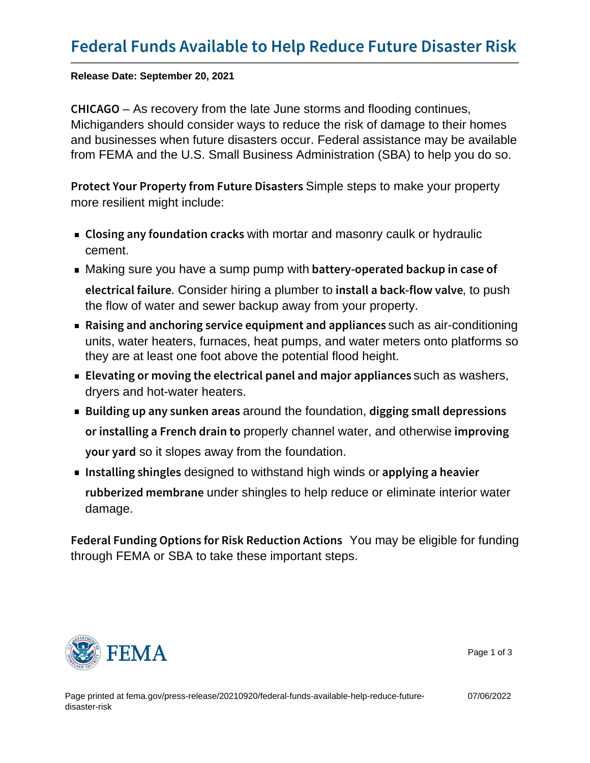Release Date: September 20, 2021

CHICA-GO recovery from the late June storms and flooding continues, Michiganders should consider ways to reduce the risk of damage to their homes and businesses when future disasters occur. Federal assistance may be available from FEMA and the U.S. Small Business Administration (SBA) to help you do so.

Protect Your Property from Simple steps to insake your property more resilient might include:

- Closing any found awtthomortar and kneasonry caulk or hydraulic cement.
- $\blacksquare$  Making sure you have a sump pump with <code>battery-operated backup</code> in <code>case</code> electrical. Conniside rehiring a plumber to install a back-fito o pursh alve the flow of water and sewer backup away from your property.
- Raising and anchoring service equ $\mathsf{sym}$  and  $\mathsf{max}$  and  $\mathsf{max}$ units, water heaters, furnaces, heat pumps, and water meters onto platforms so they are at least one foot above the potential flood height.
- **Elevating or moving the electrical panuel as nodshera**jor appliant and  $\mathbf{r}$ dryers and hot-water heaters.
- $\blacksquare$  Building up any s**anokned the foundation**, digging small depression or installing a Freponcoperly do than imped twater, and otherwise improving y o u r yespitcs lopes away from the foundation.
- Installing sdesing dete withstand high winds or applying a heavier rubberized meunnder shingles to help reduce or eliminate interior water damage.

Federal Funding Options for RisYou Roadbeceligible for futnidings through FEMA or SBA to take these important steps.



Page 1 of 3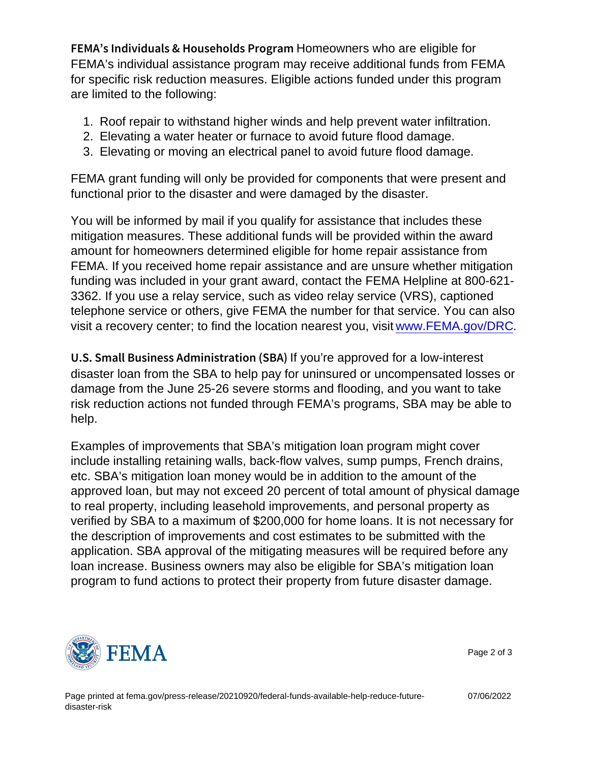FEMA s Individuals & Houkstoerneowndests Portrocageredingtible for FEMA's individual assistance program may receive additional funds from FEMA for specific risk reduction measures. Eligible actions funded under this program are limited to the following:

- 1. Roof repair to withstand higher winds and help prevent water infiltration.
- 2. Elevating a water heater or furnace to avoid future flood damage.
- 3. Elevating or moving an electrical panel to avoid future flood damage.

FEMA grant funding will only be provided for components that were present and functional prior to the disaster and were damaged by the disaster.

You will be informed by mail if you qualify for assistance that includes these mitigation measures. These additional funds will be provided within the award amount for homeowners determined eligible for home repair assistance from FEMA. If you received home repair assistance and are unsure whether mitigation funding was included in your grant award, contact the FEMA Helpline at 800-621- 3362. If you use a relay service, such as video relay service (VRS), captioned telephone service or others, give FEMA the number for that service. You can also visit a recovery center; to find the location nearest you, visit [www.FEMA.gov/DRC.](http://www.FEMA.gov/DRC)

U.S. Small Business Admlfroiosinerapproved (oS Bilalow-interest disaster loan from the SBA to help pay for uninsured or uncompensated losses or damage from the June 25-26 severe storms and flooding, and you want to take risk reduction actions not funded through FEMA's programs, SBA may be able to help.

Examples of improvements that SBA's mitigation loan program might cover include installing retaining walls, back-flow valves, sump pumps, French drains, etc. SBA's mitigation loan money would be in addition to the amount of the approved loan, but may not exceed 20 percent of total amount of physical damage to real property, including leasehold improvements, and personal property as verified by SBA to a maximum of \$200,000 for home loans. It is not necessary for the description of improvements and cost estimates to be submitted with the application. SBA approval of the mitigating measures will be required before any loan increase. Business owners may also be eligible for SBA's mitigation loan program to fund actions to protect their property from future disaster damage.



Page 2 of 3